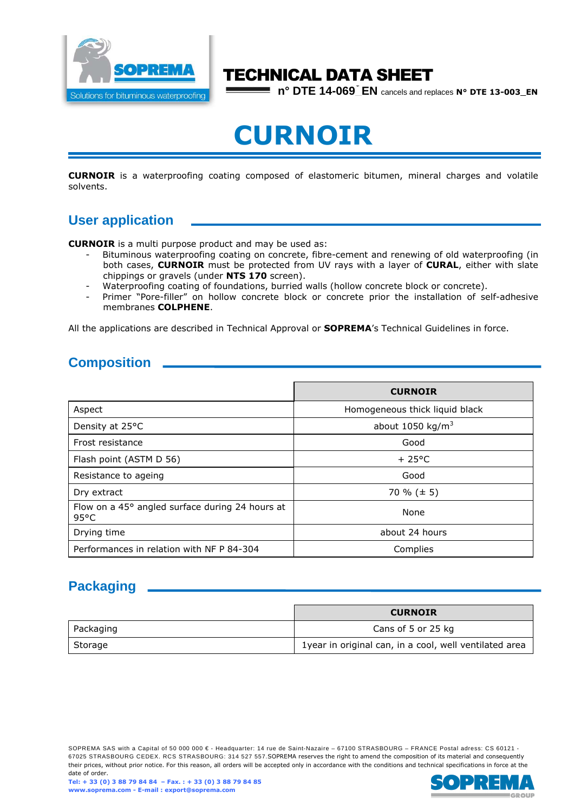

# TECHNICAL DATA SHEET

**n° DTE 14-069\_EN** cancels and replaces **N° DTE 13-003\_EN**

# **CURNOIR**

**CURNOIR** is a waterproofing coating composed of elastomeric bitumen, mineral charges and volatile solvents.

## **User application**

**CURNOIR** is a multi purpose product and may be used as:

- Bituminous waterproofing coating on concrete, fibre-cement and renewing of old waterproofing (in both cases, **CURNOIR** must be protected from UV rays with a layer of **CURAL**, either with slate chippings or gravels (under **NTS 170** screen).
- Waterproofing coating of foundations, burried walls (hollow concrete block or concrete).
- Primer "Pore-filler" on hollow concrete block or concrete prior the installation of self-adhesive membranes **COLPHENE**.

All the applications are described in Technical Approval or **SOPREMA**'s Technical Guidelines in force.

## **Composition**

|                                                                   | <b>CURNOIR</b>                 |
|-------------------------------------------------------------------|--------------------------------|
| Aspect                                                            | Homogeneous thick liquid black |
| Density at 25°C                                                   | about 1050 kg/ $m3$            |
| Frost resistance                                                  | Good                           |
| Flash point (ASTM D 56)                                           | $+25^{\circ}$ C                |
| Resistance to ageing                                              | Good                           |
| Dry extract                                                       | 70 % $(\pm 5)$                 |
| Flow on a 45° angled surface during 24 hours at<br>$95^{\circ}$ C | None                           |
| Drying time                                                       | about 24 hours                 |
| Performances in relation with NF P 84-304                         | Complies                       |

# **Packaging**

|           | <b>CURNOIR</b>                                         |
|-----------|--------------------------------------------------------|
| Packaging | Cans of 5 or 25 kg                                     |
| Storage   | 1year in original can, in a cool, well ventilated area |

SOPREMA SAS with a Capital of 50 000 000 € - Headquarter: 14 rue de Saint-Nazaire – 67100 STRASBOURG – FRANCE Postal adress: CS 60121 -67025 STRASBOURG CEDEX. RCS STRASBOURG: 314 527 557.SOPREMA reserves the right to amend the composition of its material and consequently their prices, without prior notice. For this reason, all orders will be accepted only in accordance with the conditions and technical specifications in force at the date of order.